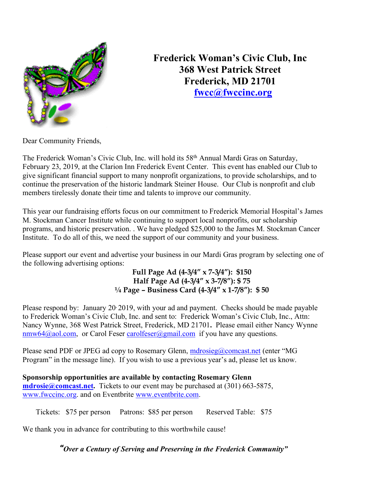

**Frederick Woman's Civic Club, Inc 368 West Patrick Street Frederick, MD 21701 fwcc@fwccinc.org**

Dear Community Friends,

The Frederick Woman's Civic Club, Inc. will hold its 58<sup>th</sup> Annual Mardi Gras on Saturday, February 23, 2019, at the Clarion Inn Frederick Event Center. This event has enabled our Club to give significant financial support to many nonprofit organizations, to provide scholarships, and to continue the preservation of the historic landmark Steiner House. Our Club is nonprofit and club members tirelessly donate their time and talents to improve our community.

This year our fundraising efforts focus on our commitment to Frederick Memorial Hospital's James M. Stockman Cancer Institute while continuing to support local nonprofits, our scholarship programs, and historic preservation. . We have pledged \$25,000 to the James M. Stockman Cancer Institute. To do all of this, we need the support of our community and your business.

Please support our event and advertise your business in our Mardi Gras program by selecting one of the following advertising options:

> **Full Page Ad (4-3/4" x 7-3/4"): \$150 Half Page Ad (4-3/4" x 3-7/8"): \$ 75 ¼ Page – Business Card (4-3/4" x 1-7/8"): \$ 50**

Please respond by: January 20.2019, with your ad and payment. Checks should be made payable to Frederick Woman's Civic Club, Inc. and sent to: Frederick Woman's Civic Club, Inc., Attn: Nancy Wynne, 368 West Patrick Street, Frederick, MD 21701**.** Please email either Nancy Wynne nmw64@aol.com, or Carol Feser carolfeser@gmail.com if you have any questions.

Please send PDF or JPEG ad copy to Rosemary Glenn, mortosieg@comcast.net (enter "MG Program" in the message line). If you wish to use a previous year's ad, please let us know.

**Sponsorship opportunities are available by contacting Rosemary Glenn mdrosie@comcast.net.** Tickets to our event may be purchased at (301) 663-5875, www.fwccinc.org. and on Eventbrite www.eventbrite.com.

Tickets: \$75 per person Patrons: \$85 per person Reserved Table: \$75

We thank you in advance for contributing to this worthwhile cause!

*"Over a Century of Serving and Preserving in the Frederick Community"*